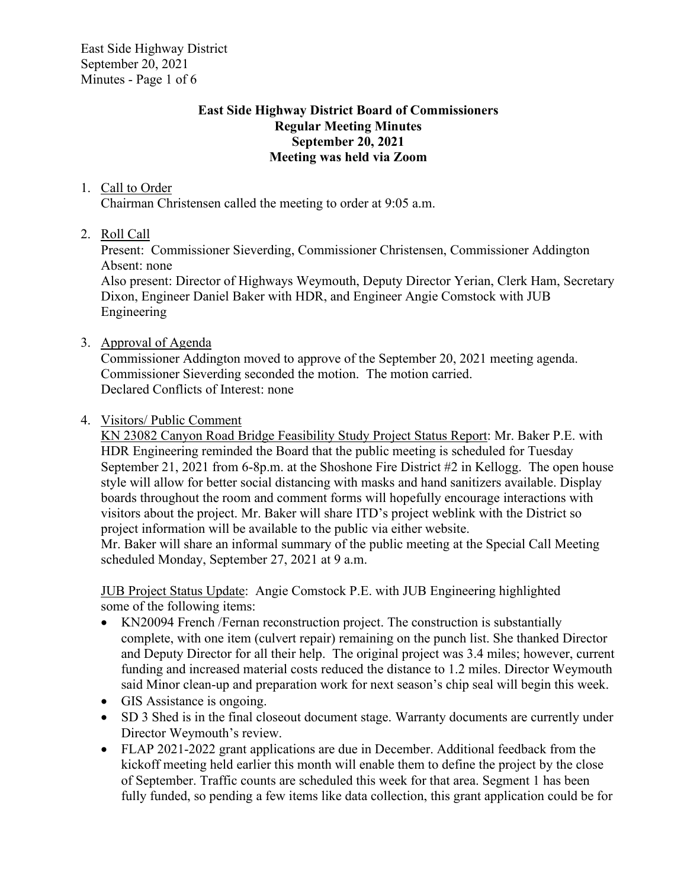East Side Highway District September 20, 2021 Minutes - Page 1 of 6

## **East Side Highway District Board of Commissioners Regular Meeting Minutes September 20, 2021 Meeting was held via Zoom**

## 1. Call to Order

Chairman Christensen called the meeting to order at 9:05 a.m.

2. Roll Call

Present: Commissioner Sieverding, Commissioner Christensen, Commissioner Addington Absent: none

Also present: Director of Highways Weymouth, Deputy Director Yerian, Clerk Ham, Secretary Dixon, Engineer Daniel Baker with HDR, and Engineer Angie Comstock with JUB Engineering

#### 3. Approval of Agenda

Commissioner Addington moved to approve of the September 20, 2021 meeting agenda. Commissioner Sieverding seconded the motion. The motion carried. Declared Conflicts of Interest: none

#### 4. Visitors/ Public Comment

KN 23082 Canyon Road Bridge Feasibility Study Project Status Report: Mr. Baker P.E. with HDR Engineering reminded the Board that the public meeting is scheduled for Tuesday September 21, 2021 from 6-8p.m. at the Shoshone Fire District #2 in Kellogg. The open house style will allow for better social distancing with masks and hand sanitizers available. Display boards throughout the room and comment forms will hopefully encourage interactions with visitors about the project. Mr. Baker will share ITD's project weblink with the District so project information will be available to the public via either website.

Mr. Baker will share an informal summary of the public meeting at the Special Call Meeting scheduled Monday, September 27, 2021 at 9 a.m.

JUB Project Status Update: Angie Comstock P.E. with JUB Engineering highlighted some of the following items:

- KN20094 French /Fernan reconstruction project. The construction is substantially complete, with one item (culvert repair) remaining on the punch list. She thanked Director and Deputy Director for all their help. The original project was 3.4 miles; however, current funding and increased material costs reduced the distance to 1.2 miles. Director Weymouth said Minor clean-up and preparation work for next season's chip seal will begin this week.
- GIS Assistance is ongoing.
- SD 3 Shed is in the final closeout document stage. Warranty documents are currently under Director Weymouth's review.
- FLAP 2021-2022 grant applications are due in December. Additional feedback from the kickoff meeting held earlier this month will enable them to define the project by the close of September. Traffic counts are scheduled this week for that area. Segment 1 has been fully funded, so pending a few items like data collection, this grant application could be for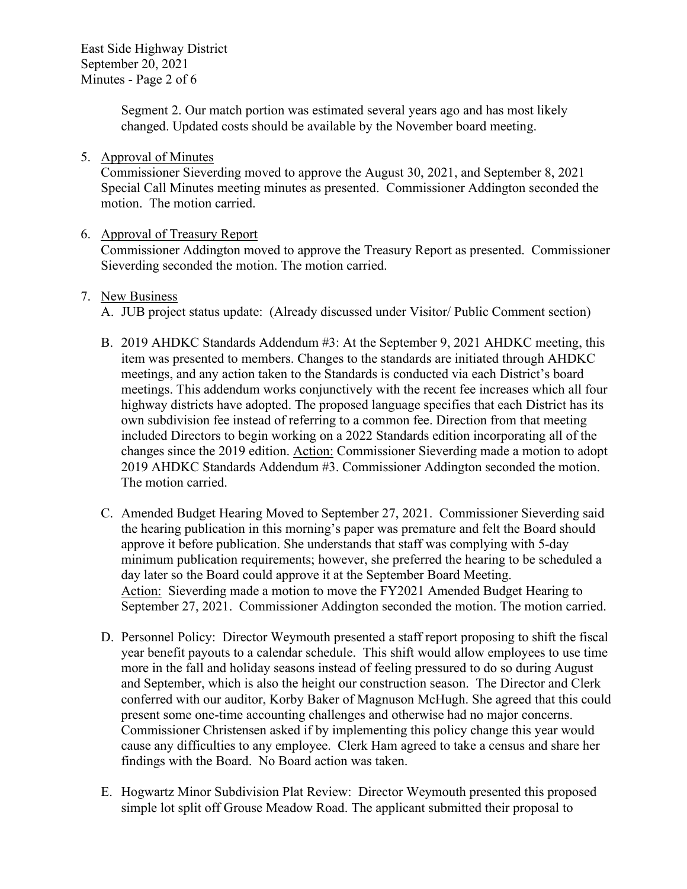East Side Highway District September 20, 2021 Minutes - Page 2 of 6

> Segment 2. Our match portion was estimated several years ago and has most likely changed. Updated costs should be available by the November board meeting.

#### 5. Approval of Minutes

Commissioner Sieverding moved to approve the August 30, 2021, and September 8, 2021 Special Call Minutes meeting minutes as presented. Commissioner Addington seconded the motion. The motion carried.

## 6. Approval of Treasury Report

Commissioner Addington moved to approve the Treasury Report as presented. Commissioner Sieverding seconded the motion. The motion carried.

#### 7. New Business

A. JUB project status update: (Already discussed under Visitor/ Public Comment section)

- B. 2019 AHDKC Standards Addendum #3: At the September 9, 2021 AHDKC meeting, this item was presented to members. Changes to the standards are initiated through AHDKC meetings, and any action taken to the Standards is conducted via each District's board meetings. This addendum works conjunctively with the recent fee increases which all four highway districts have adopted. The proposed language specifies that each District has its own subdivision fee instead of referring to a common fee. Direction from that meeting included Directors to begin working on a 2022 Standards edition incorporating all of the changes since the 2019 edition. Action: Commissioner Sieverding made a motion to adopt 2019 AHDKC Standards Addendum #3. Commissioner Addington seconded the motion. The motion carried.
- C. Amended Budget Hearing Moved to September 27, 2021. Commissioner Sieverding said the hearing publication in this morning's paper was premature and felt the Board should approve it before publication. She understands that staff was complying with 5-day minimum publication requirements; however, she preferred the hearing to be scheduled a day later so the Board could approve it at the September Board Meeting. Action: Sieverding made a motion to move the FY2021 Amended Budget Hearing to September 27, 2021. Commissioner Addington seconded the motion. The motion carried.
- D. Personnel Policy: Director Weymouth presented a staff report proposing to shift the fiscal year benefit payouts to a calendar schedule. This shift would allow employees to use time more in the fall and holiday seasons instead of feeling pressured to do so during August and September, which is also the height our construction season. The Director and Clerk conferred with our auditor, Korby Baker of Magnuson McHugh. She agreed that this could present some one-time accounting challenges and otherwise had no major concerns. Commissioner Christensen asked if by implementing this policy change this year would cause any difficulties to any employee. Clerk Ham agreed to take a census and share her findings with the Board. No Board action was taken.
- E. Hogwartz Minor Subdivision Plat Review: Director Weymouth presented this proposed simple lot split off Grouse Meadow Road. The applicant submitted their proposal to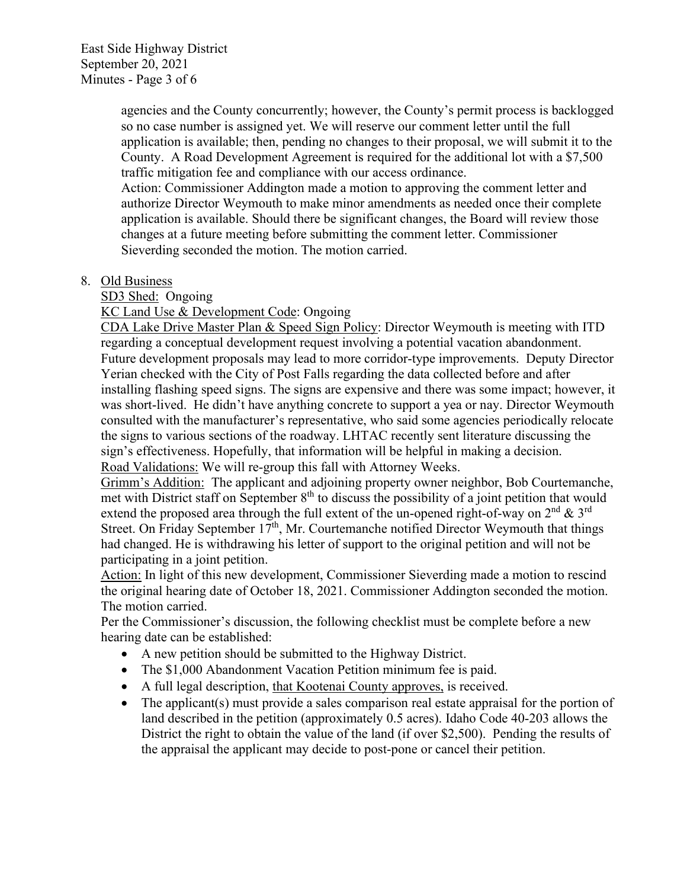East Side Highway District September 20, 2021 Minutes - Page 3 of 6

> agencies and the County concurrently; however, the County's permit process is backlogged so no case number is assigned yet. We will reserve our comment letter until the full application is available; then, pending no changes to their proposal, we will submit it to the County. A Road Development Agreement is required for the additional lot with a \$7,500 traffic mitigation fee and compliance with our access ordinance.

Action: Commissioner Addington made a motion to approving the comment letter and authorize Director Weymouth to make minor amendments as needed once their complete application is available. Should there be significant changes, the Board will review those changes at a future meeting before submitting the comment letter. Commissioner Sieverding seconded the motion. The motion carried.

#### 8. Old Business

SD3 Shed: Ongoing

KC Land Use & Development Code: Ongoing

CDA Lake Drive Master Plan & Speed Sign Policy: Director Weymouth is meeting with ITD regarding a conceptual development request involving a potential vacation abandonment. Future development proposals may lead to more corridor-type improvements. Deputy Director Yerian checked with the City of Post Falls regarding the data collected before and after installing flashing speed signs. The signs are expensive and there was some impact; however, it was short-lived. He didn't have anything concrete to support a yea or nay. Director Weymouth consulted with the manufacturer's representative, who said some agencies periodically relocate the signs to various sections of the roadway. LHTAC recently sent literature discussing the sign's effectiveness. Hopefully, that information will be helpful in making a decision. Road Validations: We will re-group this fall with Attorney Weeks.

Grimm's Addition: The applicant and adjoining property owner neighbor, Bob Courtemanche, met with District staff on September  $8<sup>th</sup>$  to discuss the possibility of a joint petition that would extend the proposed area through the full extent of the un-opened right-of-way on  $2^{nd} \& 3^{rd}$ Street. On Friday September  $17<sup>th</sup>$ , Mr. Courtemanche notified Director Weymouth that things had changed. He is withdrawing his letter of support to the original petition and will not be participating in a joint petition.

Action: In light of this new development, Commissioner Sieverding made a motion to rescind the original hearing date of October 18, 2021. Commissioner Addington seconded the motion. The motion carried.

Per the Commissioner's discussion, the following checklist must be complete before a new hearing date can be established:

- A new petition should be submitted to the Highway District.
- The \$1,000 Abandonment Vacation Petition minimum fee is paid.
- A full legal description, that Kootenai County approves, is received.
- The applicant(s) must provide a sales comparison real estate appraisal for the portion of land described in the petition (approximately 0.5 acres). Idaho Code 40-203 allows the District the right to obtain the value of the land (if over \$2,500). Pending the results of the appraisal the applicant may decide to post-pone or cancel their petition.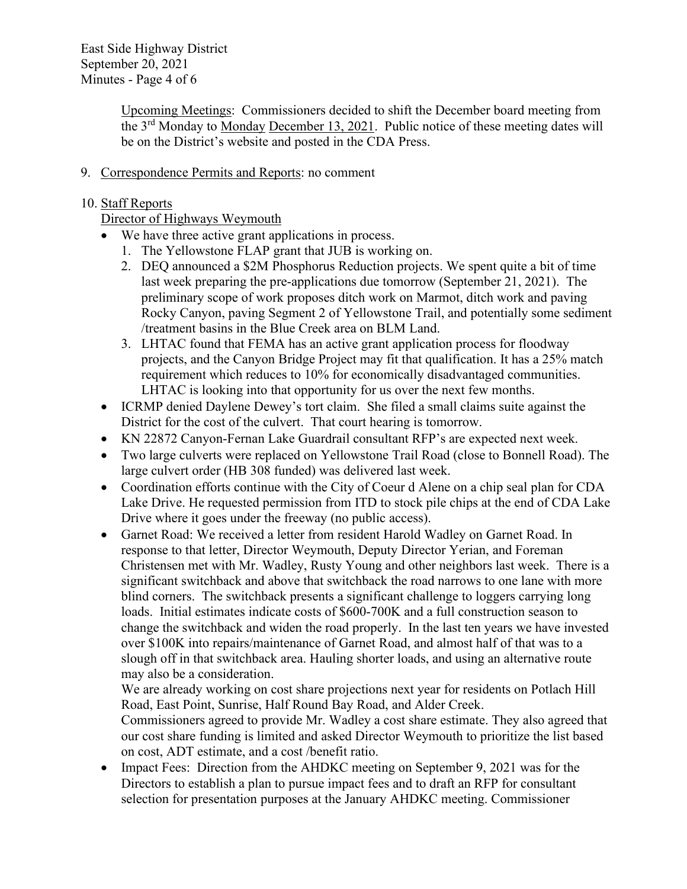East Side Highway District September 20, 2021 Minutes - Page 4 of 6

> Upcoming Meetings: Commissioners decided to shift the December board meeting from the 3rd Monday to Monday December 13, 2021. Public notice of these meeting dates will be on the District's website and posted in the CDA Press.

## 9. Correspondence Permits and Reports: no comment

## 10. Staff Reports

# Director of Highways Weymouth

- We have three active grant applications in process.
	- 1. The Yellowstone FLAP grant that JUB is working on.
	- 2. DEQ announced a \$2M Phosphorus Reduction projects. We spent quite a bit of time last week preparing the pre-applications due tomorrow (September 21, 2021). The preliminary scope of work proposes ditch work on Marmot, ditch work and paving Rocky Canyon, paving Segment 2 of Yellowstone Trail, and potentially some sediment /treatment basins in the Blue Creek area on BLM Land.
	- 3. LHTAC found that FEMA has an active grant application process for floodway projects, and the Canyon Bridge Project may fit that qualification. It has a 25% match requirement which reduces to 10% for economically disadvantaged communities. LHTAC is looking into that opportunity for us over the next few months.
- ICRMP denied Daylene Dewey's tort claim. She filed a small claims suite against the District for the cost of the culvert. That court hearing is tomorrow.
- KN 22872 Canyon-Fernan Lake Guardrail consultant RFP's are expected next week.
- Two large culverts were replaced on Yellowstone Trail Road (close to Bonnell Road). The large culvert order (HB 308 funded) was delivered last week.
- Coordination efforts continue with the City of Coeur d Alene on a chip seal plan for CDA Lake Drive. He requested permission from ITD to stock pile chips at the end of CDA Lake Drive where it goes under the freeway (no public access).
- Garnet Road: We received a letter from resident Harold Wadley on Garnet Road. In response to that letter, Director Weymouth, Deputy Director Yerian, and Foreman Christensen met with Mr. Wadley, Rusty Young and other neighbors last week. There is a significant switchback and above that switchback the road narrows to one lane with more blind corners. The switchback presents a significant challenge to loggers carrying long loads. Initial estimates indicate costs of \$600-700K and a full construction season to change the switchback and widen the road properly. In the last ten years we have invested over \$100K into repairs/maintenance of Garnet Road, and almost half of that was to a slough off in that switchback area. Hauling shorter loads, and using an alternative route may also be a consideration.

We are already working on cost share projections next year for residents on Potlach Hill Road, East Point, Sunrise, Half Round Bay Road, and Alder Creek. Commissioners agreed to provide Mr. Wadley a cost share estimate. They also agreed that our cost share funding is limited and asked Director Weymouth to prioritize the list based on cost, ADT estimate, and a cost /benefit ratio.

• Impact Fees: Direction from the AHDKC meeting on September 9, 2021 was for the Directors to establish a plan to pursue impact fees and to draft an RFP for consultant selection for presentation purposes at the January AHDKC meeting. Commissioner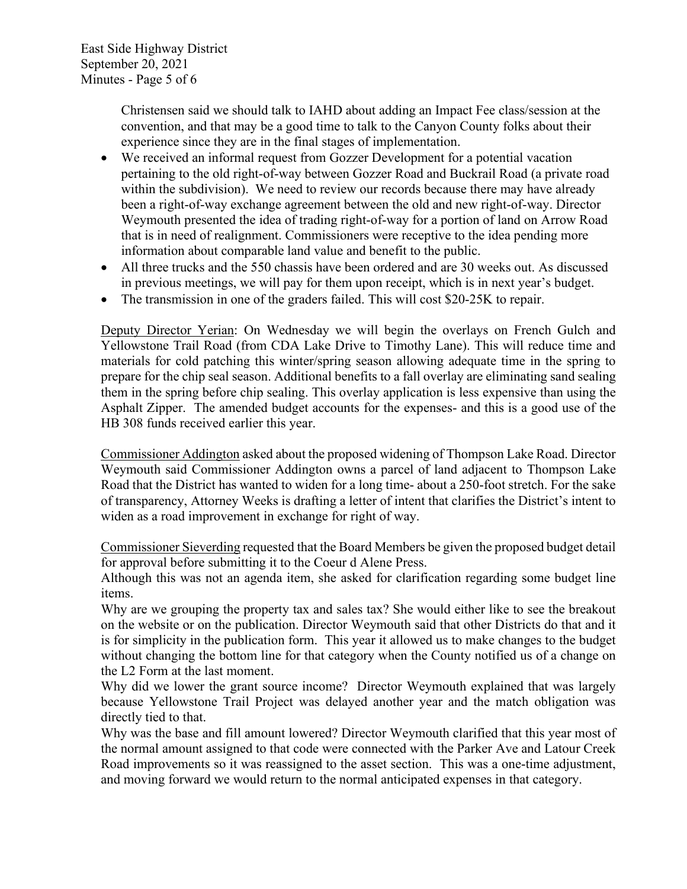East Side Highway District September 20, 2021 Minutes - Page 5 of 6

> Christensen said we should talk to IAHD about adding an Impact Fee class/session at the convention, and that may be a good time to talk to the Canyon County folks about their experience since they are in the final stages of implementation.

- We received an informal request from Gozzer Development for a potential vacation pertaining to the old right-of-way between Gozzer Road and Buckrail Road (a private road within the subdivision). We need to review our records because there may have already been a right-of-way exchange agreement between the old and new right-of-way. Director Weymouth presented the idea of trading right-of-way for a portion of land on Arrow Road that is in need of realignment. Commissioners were receptive to the idea pending more information about comparable land value and benefit to the public.
- All three trucks and the 550 chassis have been ordered and are 30 weeks out. As discussed in previous meetings, we will pay for them upon receipt, which is in next year's budget.
- The transmission in one of the graders failed. This will cost \$20-25K to repair.

Deputy Director Yerian: On Wednesday we will begin the overlays on French Gulch and Yellowstone Trail Road (from CDA Lake Drive to Timothy Lane). This will reduce time and materials for cold patching this winter/spring season allowing adequate time in the spring to prepare for the chip seal season. Additional benefits to a fall overlay are eliminating sand sealing them in the spring before chip sealing. This overlay application is less expensive than using the Asphalt Zipper. The amended budget accounts for the expenses- and this is a good use of the HB 308 funds received earlier this year.

Commissioner Addington asked about the proposed widening of Thompson Lake Road. Director Weymouth said Commissioner Addington owns a parcel of land adjacent to Thompson Lake Road that the District has wanted to widen for a long time- about a 250-foot stretch. For the sake of transparency, Attorney Weeks is drafting a letter of intent that clarifies the District's intent to widen as a road improvement in exchange for right of way.

Commissioner Sieverding requested that the Board Members be given the proposed budget detail for approval before submitting it to the Coeur d Alene Press.

Although this was not an agenda item, she asked for clarification regarding some budget line items.

Why are we grouping the property tax and sales tax? She would either like to see the breakout on the website or on the publication. Director Weymouth said that other Districts do that and it is for simplicity in the publication form. This year it allowed us to make changes to the budget without changing the bottom line for that category when the County notified us of a change on the L2 Form at the last moment.

Why did we lower the grant source income? Director Weymouth explained that was largely because Yellowstone Trail Project was delayed another year and the match obligation was directly tied to that.

Why was the base and fill amount lowered? Director Weymouth clarified that this year most of the normal amount assigned to that code were connected with the Parker Ave and Latour Creek Road improvements so it was reassigned to the asset section. This was a one-time adjustment, and moving forward we would return to the normal anticipated expenses in that category.